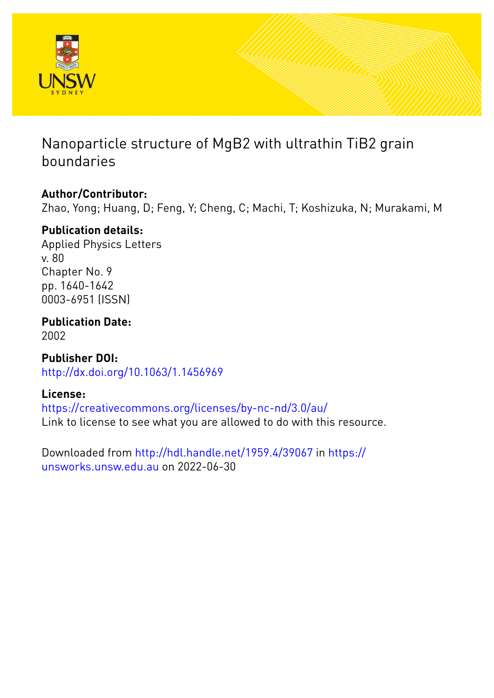

# Nanoparticle structure of MgB2 with ultrathin TiB2 grain boundaries

## **Author/Contributor:**

Zhao, Yong; Huang, D; Feng, Y; Cheng, C; Machi, T; Koshizuka, N; Murakami, M

### **Publication details:**

Applied Physics Letters v. 80 Chapter No. 9 pp. 1640-1642 0003-6951 (ISSN)

**Publication Date:** 2002

**Publisher DOI:** [http://dx.doi.org/10.1063/1.1456969](http://dx.doi.org/http://dx.doi.org/10.1063/1.1456969)

### **License:**

<https://creativecommons.org/licenses/by-nc-nd/3.0/au/> Link to license to see what you are allowed to do with this resource.

Downloaded from <http://hdl.handle.net/1959.4/39067> in [https://](https://unsworks.unsw.edu.au) [unsworks.unsw.edu.au](https://unsworks.unsw.edu.au) on 2022-06-30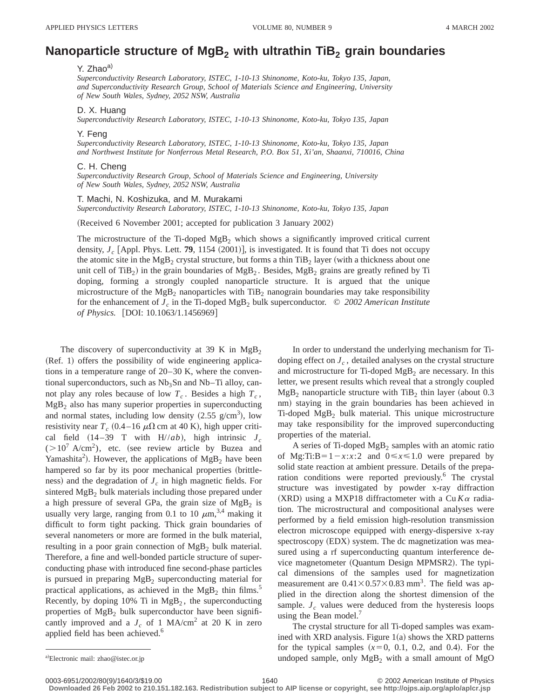### **Nanoparticle structure of MgB<sub>2</sub> with ultrathin TiB<sub>2</sub> grain boundaries**

#### Y. Zhao<sup>a)</sup>

*Superconductivity Research Laboratory, ISTEC, 1-10-13 Shinonome, Koto-ku, Tokyo 135, Japan, and Superconductivity Research Group, School of Materials Science and Engineering, University of New South Wales, Sydney, 2052 NSW, Australia*

#### D. X. Huang

*Superconductivity Research Laboratory, ISTEC, 1-10-13 Shinonome, Koto-ku, Tokyo 135, Japan*

#### Y. Feng

*Superconductivity Research Laboratory, ISTEC, 1-10-13 Shinonome, Koto-ku, Tokyo 135, Japan and Northwest Institute for Nonferrous Metal Research, P.O. Box 51, Xi'an, Shaanxi, 710016, China*

#### C. H. Cheng

*Superconductivity Research Group, School of Materials Science and Engineering, University of New South Wales, Sydney, 2052 NSW, Australia*

#### T. Machi, N. Koshizuka, and M. Murakami

*Superconductivity Research Laboratory, ISTEC, 1-10-13 Shinonome, Koto-ku, Tokyo 135, Japan*

(Received 6 November 2001; accepted for publication 3 January 2002)

The microstructure of the Ti-doped  $MgB<sub>2</sub>$  which shows a significantly improved critical current density,  $J_c$  [Appl. Phys. Lett. **79**, 1154 (2001)], is investigated. It is found that Ti does not occupy the atomic site in the  $MgB_2$  crystal structure, but forms a thin TiB<sub>2</sub> layer (with a thickness about one unit cell of TiB<sub>2</sub>) in the grain boundaries of  $MgB_2$ . Besides,  $MgB_2$  grains are greatly refined by Ti doping, forming a strongly coupled nanoparticle structure. It is argued that the unique microstructure of the  $Mg_{B_2}$  nanoparticles with TiB<sub>2</sub> nanograin boundaries may take responsibility for the enhancement of *Jc* in the Ti-doped MgB2 bulk superconductor. © *2002 American Institute of Physics.* [DOI: 10.1063/1.1456969]

The discovery of superconductivity at 39 K in  $MgB<sub>2</sub>$  $(Ref. 1)$  offers the possibility of wide engineering applications in a temperature range of 20–30 K, where the conventional superconductors, such as  $Nb<sub>3</sub>Sn$  and  $Nb$ –Ti alloy, cannot play any roles because of low  $T_c$ . Besides a high  $T_c$ ,  $MgB<sub>2</sub>$  also has many superior properties in superconducting and normal states, including low density  $(2.55 \text{ g/cm}^3)$ , low resistivity near  $T_c$  (0.4–16  $\mu\Omega$  cm at 40 K), high upper critical field  $(14-39$  T with  $H//ab$ ), high intrinsic  $J_c$  $(>10^7 \text{ A/cm}^2)$ , etc. (see review article by Buzea and Yamashita<sup>2</sup>). However, the applications of  $MgB_2$  have been hampered so far by its poor mechanical properties (brittleness) and the degradation of  $J_c$  in high magnetic fields. For sintered  $MgB<sub>2</sub>$  bulk materials including those prepared under a high pressure of several GPa, the grain size of  $MgB<sub>2</sub>$  is usually very large, ranging from 0.1 to 10  $\mu$ m,<sup>3,4</sup> making it difficult to form tight packing. Thick grain boundaries of several nanometers or more are formed in the bulk material, resulting in a poor grain connection of  $MgB<sub>2</sub>$  bulk material. Therefore, a fine and well-bonded particle structure of superconducting phase with introduced fine second-phase particles is pursued in preparing  $MgB<sub>2</sub>$  superconducting material for practical applications, as achieved in the  $MgB<sub>2</sub>$  thin films.<sup>5</sup> Recently, by doping  $10\%$  Ti in  $MgB<sub>2</sub>$ , the superconducting properties of  $MgB_2$  bulk superconductor have been significantly improved and a  $J_c$  of 1 MA/cm<sup>2</sup> at 20 K in zero applied field has been achieved.<sup>6</sup>

In order to understand the underlying mechanism for Tidoping effect on  $J_c$ , detailed analyses on the crystal structure and microstructure for Ti-doped  $MgB<sub>2</sub>$  are necessary. In this letter, we present results which reveal that a strongly coupled  $MgB<sub>2</sub>$  nanoparticle structure with TiB<sub>2</sub> thin layer (about 0.3) nm) staying in the grain boundaries has been achieved in  $Ti$ -doped  $MgB<sub>2</sub>$  bulk material. This unique microstructure may take responsibility for the improved superconducting properties of the material.

A series of Ti-doped  $MgB<sub>2</sub>$  samples with an atomic ratio of Mg:Ti:B=1- $x:x:2$  and  $0 \le x \le 1.0$  were prepared by solid state reaction at ambient pressure. Details of the preparation conditions were reported previously.<sup>6</sup> The crystal structure was investigated by powder x-ray diffraction (XRD) using a MXP18 diffractometer with a Cu  $K\alpha$  radiation. The microstructural and compositional analyses were performed by a field emission high-resolution transmission electron microscope equipped with energy-dispersive x-ray spectroscopy (EDX) system. The dc magnetization was measured using a rf superconducting quantum interference device magnetometer (Quantum Design MPMSR2). The typical dimensions of the samples used for magnetization measurement are  $0.41 \times 0.57 \times 0.83$  mm<sup>3</sup>. The field was applied in the direction along the shortest dimension of the sample.  $J_c$  values were deduced from the hysteresis loops using the Bean model.<sup>7</sup>

The crystal structure for all Ti-doped samples was examined with XRD analysis. Figure  $1(a)$  shows the XRD patterns for the typical samples  $(x=0, 0.1, 0.2,$  and 0.4). For the undoped sample, only  $MgB_2$  with a small amount of MgO

**Downloaded 26 Feb 2002 to 210.151.182.163. Redistribution subject to AIP license or copyright, see http://ojps.aip.org/aplo/aplcr.jsp**

a)Electronic mail: zhao@istec.or.jp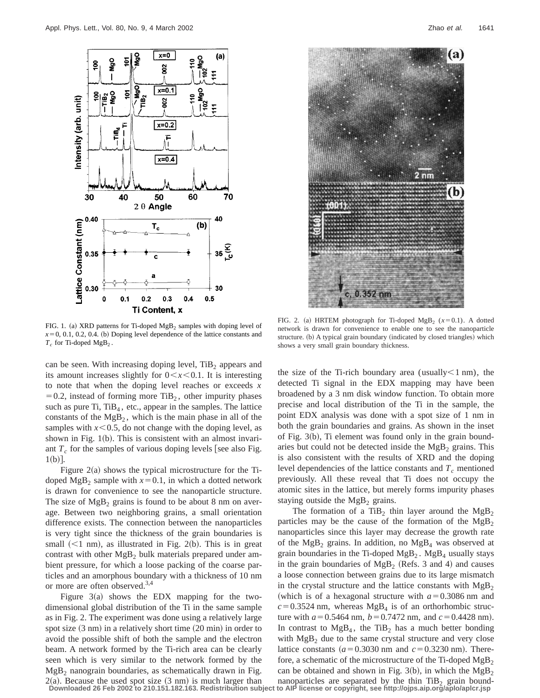

FIG. 1. (a) XRD patterns for Ti-doped MgB<sub>2</sub> samples with doping level of  $x=0, 0.1, 0.2, 0.4.$  (b) Doping level dependence of the lattice constants and  $T_c$  for Ti-doped MgB<sub>2</sub>.

can be seen. With increasing doping level,  $TiB<sub>2</sub>$  appears and its amount increases slightly for  $0 \lt x \lt 0.1$ . It is interesting to note that when the doping level reaches or exceeds *x*  $=0.2$ , instead of forming more TiB<sub>2</sub>, other impurity phases such as pure Ti,  $TiB<sub>4</sub>$ , etc., appear in the samples. The lattice constants of the  $MgB<sub>2</sub>$ , which is the main phase in all of the samples with  $x \le 0.5$ , do not change with the doping level, as shown in Fig.  $1(b)$ . This is consistent with an almost invariant  $T_c$  for the samples of various doping levels [see also Fig.  $1(b)$ .

Figure  $2(a)$  shows the typical microstructure for the Tidoped MgB<sub>2</sub> sample with  $x=0.1$ , in which a dotted network is drawn for convenience to see the nanoparticle structure. The size of  $MgB<sub>2</sub>$  grains is found to be about 8 nm on average. Between two neighboring grains, a small orientation difference exists. The connection between the nanoparticles is very tight since the thickness of the grain boundaries is small  $(<1$  nm), as illustrated in Fig. 2(b). This is in great contrast with other  $MgB<sub>2</sub>$  bulk materials prepared under ambient pressure, for which a loose packing of the coarse particles and an amorphous boundary with a thickness of 10 nm or more are often observed.3,4

Figure  $3(a)$  shows the EDX mapping for the twodimensional global distribution of the Ti in the same sample as in Fig. 2. The experiment was done using a relatively large spot size  $(3 \text{ nm})$  in a relatively short time  $(20 \text{ min})$  in order to avoid the possible shift of both the sample and the electron beam. A network formed by the Ti-rich area can be clearly seen which is very similar to the network formed by the  $MgB<sub>2</sub>$  nanograin boundaries, as schematically drawn in Fig.  $2(a)$ . Because the used spot size  $(3 \text{ nm})$  is much larger than **Downloaded 26 Feb 2002 to 210.151.182.163. Redistribution subject to AIP license or copyright, see http://ojps.aip.org/aplo/aplcr.jsp**



FIG. 2. (a) HRTEM photograph for Ti-doped MgB<sub>2</sub> ( $x=0.1$ ). A dotted network is drawn for convenience to enable one to see the nanoparticle structure. (b) A typical grain boundary (indicated by closed triangles) which shows a very small grain boundary thickness.

the size of the Ti-rich boundary area (usually $\leq 1$  nm), the detected Ti signal in the EDX mapping may have been broadened by a 3 nm disk window function. To obtain more precise and local distribution of the Ti in the sample, the point EDX analysis was done with a spot size of 1 nm in both the grain boundaries and grains. As shown in the inset of Fig.  $3(b)$ , Ti element was found only in the grain boundaries but could not be detected inside the  $MgB<sub>2</sub>$  grains. This is also consistent with the results of XRD and the doping level dependencies of the lattice constants and  $T_c$  mentioned previously. All these reveal that Ti does not occupy the atomic sites in the lattice, but merely forms impurity phases staying outside the  $MgB<sub>2</sub>$  grains.

The formation of a TiB<sub>2</sub> thin layer around the  $MgB_2$ particles may be the cause of the formation of the  $MgB<sub>2</sub>$ nanoparticles since this layer may decrease the growth rate of the  $MgB_2$  grains. In addition, no  $MgB_4$  was observed at grain boundaries in the Ti-doped  $MgB<sub>2</sub>$ .  $MgB<sub>4</sub>$  usually stays in the grain boundaries of  $MgB_2$  (Refs. 3 and 4) and causes a loose connection between grains due to its large mismatch in the crystal structure and the lattice constants with  $Mg_{\rm B2}$ (which is of a hexagonal structure with  $a=0.3086$  nm and  $c=0.3524$  nm, whereas MgB<sub>4</sub> is of an orthorhombic structure with  $a = 0.5464$  nm,  $b = 0.7472$  nm, and  $c = 0.4428$  nm). In contrast to  $MgB<sub>4</sub>$ , the TiB<sub>2</sub> has a much better bonding with  $Mg_{2}$  due to the same crystal structure and very close lattice constants  $(a=0.3030 \text{ nm} \text{ and } c=0.3230 \text{ nm}).$  Therefore, a schematic of the microstructure of the Ti-doped  $MgB<sub>2</sub>$ can be obtained and shown in Fig. 3(b), in which the MgB<sub>2</sub> nanoparticles are separated by the thin  $TiB<sub>2</sub>$  grain bound-